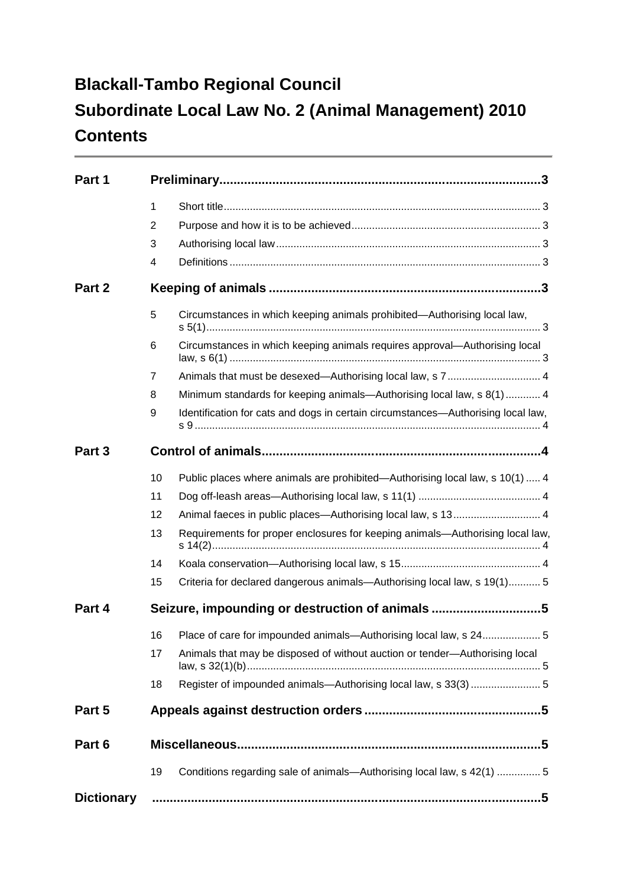## **Blackall-Tambo Regional Council Subordinate Local Law No. 2 (Animal Management) 2010 Contents**

| Part 1            |                |                                                                                  |  |  |  |  |
|-------------------|----------------|----------------------------------------------------------------------------------|--|--|--|--|
|                   | 1              |                                                                                  |  |  |  |  |
|                   | $\overline{2}$ |                                                                                  |  |  |  |  |
|                   | 3              |                                                                                  |  |  |  |  |
|                   | 4              |                                                                                  |  |  |  |  |
| Part 2            |                |                                                                                  |  |  |  |  |
|                   | $\overline{5}$ | Circumstances in which keeping animals prohibited-Authorising local law,         |  |  |  |  |
|                   | 6              | Circumstances in which keeping animals requires approval-Authorising local       |  |  |  |  |
|                   | $\overline{7}$ |                                                                                  |  |  |  |  |
|                   | 8              | Minimum standards for keeping animals—Authorising local law, s 8(1)  4           |  |  |  |  |
|                   | 9              | Identification for cats and dogs in certain circumstances-Authorising local law, |  |  |  |  |
| Part 3            |                |                                                                                  |  |  |  |  |
|                   | 10             | Public places where animals are prohibited—Authorising local law, s 10(1)  4     |  |  |  |  |
|                   | 11             |                                                                                  |  |  |  |  |
|                   | 12             | Animal faeces in public places—Authorising local law, s 13 4                     |  |  |  |  |
|                   | 13             | Requirements for proper enclosures for keeping animals—Authorising local law,    |  |  |  |  |
|                   | 14             |                                                                                  |  |  |  |  |
|                   | 15             | Criteria for declared dangerous animals—Authorising local law, s 19(1) 5         |  |  |  |  |
| Part 4            |                | Seizure, impounding or destruction of animals 5                                  |  |  |  |  |
|                   |                | 16 Place of care for impounded animals—Authorising local law, s 245              |  |  |  |  |
|                   | 17             | Animals that may be disposed of without auction or tender-Authorising local      |  |  |  |  |
|                   | 18             | Register of impounded animals-Authorising local law, s 33(3)  5                  |  |  |  |  |
| Part 5            |                |                                                                                  |  |  |  |  |
| Part 6            |                |                                                                                  |  |  |  |  |
|                   | 19             | Conditions regarding sale of animals—Authorising local law, s 42(1)  5           |  |  |  |  |
| <b>Dictionary</b> |                |                                                                                  |  |  |  |  |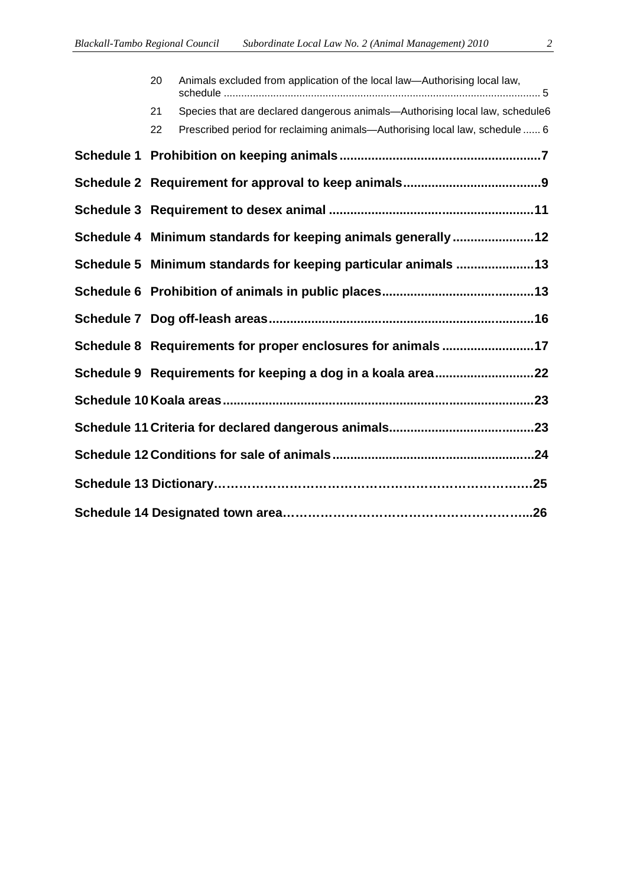| 20                                                             | Animals excluded from application of the local law—Authorising local law,    |  |  |
|----------------------------------------------------------------|------------------------------------------------------------------------------|--|--|
| 21                                                             | Species that are declared dangerous animals—Authorising local law, schedule6 |  |  |
| 22                                                             | Prescribed period for reclaiming animals—Authorising local law, schedule  6  |  |  |
|                                                                |                                                                              |  |  |
|                                                                |                                                                              |  |  |
|                                                                |                                                                              |  |  |
|                                                                | Schedule 4 Minimum standards for keeping animals generally 12                |  |  |
| Schedule 5 Minimum standards for keeping particular animals 13 |                                                                              |  |  |
|                                                                |                                                                              |  |  |
|                                                                |                                                                              |  |  |
|                                                                | Schedule 8 Requirements for proper enclosures for animals 17                 |  |  |
|                                                                | Schedule 9 Requirements for keeping a dog in a koala area22                  |  |  |

**Schedule 10 Koala areas........................................................................................23**

**Schedule 11 Criteria for declared dangerous animals.........................................23**

**Schedule 12 Conditions for sale of animals.........................................................24**

**Schedule 13 Dictionary……………………………………………………………….…25**

**Schedule 14 Designated town area…………………………………………………...26**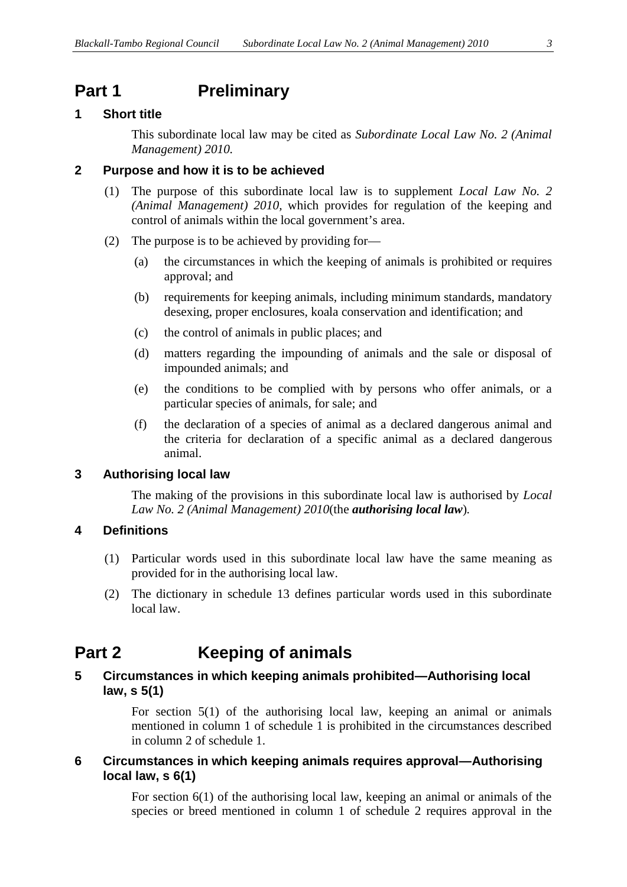### **Part 1 Preliminary**

#### **1 Short title**

This subordinate local law may be cited as *Subordinate Local Law No. 2 (Animal Management) 2010.*

#### **2 Purpose and how it is to be achieved**

- (1) The purpose of this subordinate local law is to supplement *Local Law No. 2 (Animal Management) 2010,* which provides for regulation of the keeping and control of animals within the local government's area.
- (2) The purpose is to be achieved by providing for—
	- (a) the circumstances in which the keeping of animals is prohibited or requires approval; and
	- (b) requirements for keeping animals, including minimum standards, mandatory desexing, proper enclosures, koala conservation and identification; and
	- (c) the control of animals in public places; and
	- (d) matters regarding the impounding of animals and the sale or disposal of impounded animals; and
	- (e) the conditions to be complied with by persons who offer animals, or a particular species of animals, for sale; and
	- (f) the declaration of a species of animal as a declared dangerous animal and the criteria for declaration of a specific animal as a declared dangerous animal.

#### **3 Authorising local law**

The making of the provisions in this subordinate local law is authorised by *Local Law No. 2 (Animal Management) 2010*(the *authorising local law*)*.*

#### **4 Definitions**

- (1) Particular words used in this subordinate local law have the same meaning as provided for in the authorising local law.
- (2) The dictionary in schedule 13 defines particular words used in this subordinate local law.

### **Part 2 Keeping of animals**

#### **5 Circumstances in which keeping animals prohibited—Authorising local law, s 5(1)**

For section 5(1) of the authorising local law, keeping an animal or animals mentioned in column 1 of schedule 1 is prohibited in the circumstances described in column 2 of schedule 1.

#### **6 Circumstances in which keeping animals requires approval—Authorising local law, s 6(1)**

For section 6(1) of the authorising local law, keeping an animal or animals of the species or breed mentioned in column 1 of schedule 2 requires approval in the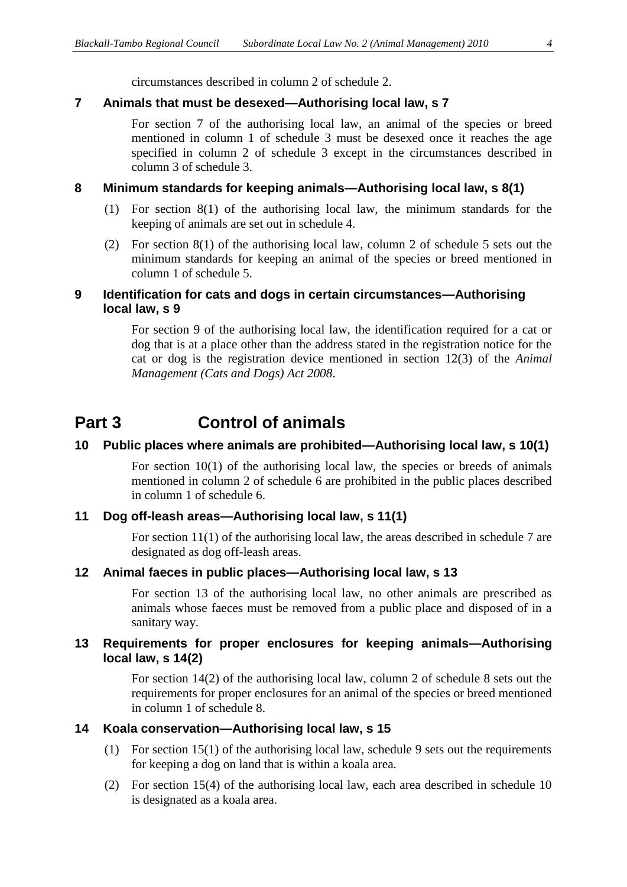#### **7 Animals that must be desexed—Authorising local law, s 7**

For section 7 of the authorising local law, an animal of the species or breed mentioned in column 1 of schedule 3 must be desexed once it reaches the age specified in column 2 of schedule 3 except in the circumstances described in column 3 of schedule 3.

#### **8 Minimum standards for keeping animals—Authorising local law, s 8(1)**

- (1) For section 8(1) of the authorising local law, the minimum standards for the keeping of animals are set out in schedule 4.
- (2) For section 8(1) of the authorising local law, column 2 of schedule 5 sets out the minimum standards for keeping an animal of the species or breed mentioned in column 1 of schedule 5.

#### **9 Identification for cats and dogs in certain circumstances—Authorising local law, s 9**

For section 9 of the authorising local law, the identification required for a cat or dog that is at a place other than the address stated in the registration notice for the cat or dog is the registration device mentioned in section 12(3) of the *Animal Management (Cats and Dogs) Act 2008*.

### **Part 3 Control of animals**

#### **10 Public places where animals are prohibited—Authorising local law, s 10(1)**

For section  $10(1)$  of the authorising local law, the species or breeds of animals mentioned in column 2 of schedule 6 are prohibited in the public places described in column 1 of schedule 6.

#### **11 Dog off-leash areas—Authorising local law, s 11(1)**

For section 11(1) of the authorising local law, the areas described in schedule 7 are designated as dog off-leash areas.

#### **12 Animal faeces in public places—Authorising local law, s 13**

For section 13 of the authorising local law, no other animals are prescribed as animals whose faeces must be removed from a public place and disposed of in a sanitary way.

#### **13 Requirements for proper enclosures for keeping animals—Authorising local law, s 14(2)**

For section 14(2) of the authorising local law, column 2 of schedule 8 sets out the requirements for proper enclosures for an animal of the species or breed mentioned in column 1 of schedule 8.

#### **14 Koala conservation—Authorising local law, s 15**

- (1) For section 15(1) of the authorising local law, schedule 9 sets out the requirements for keeping a dog on land that is within a koala area.
- (2) For section 15(4) of the authorising local law, each area described in schedule 10 is designated as a koala area.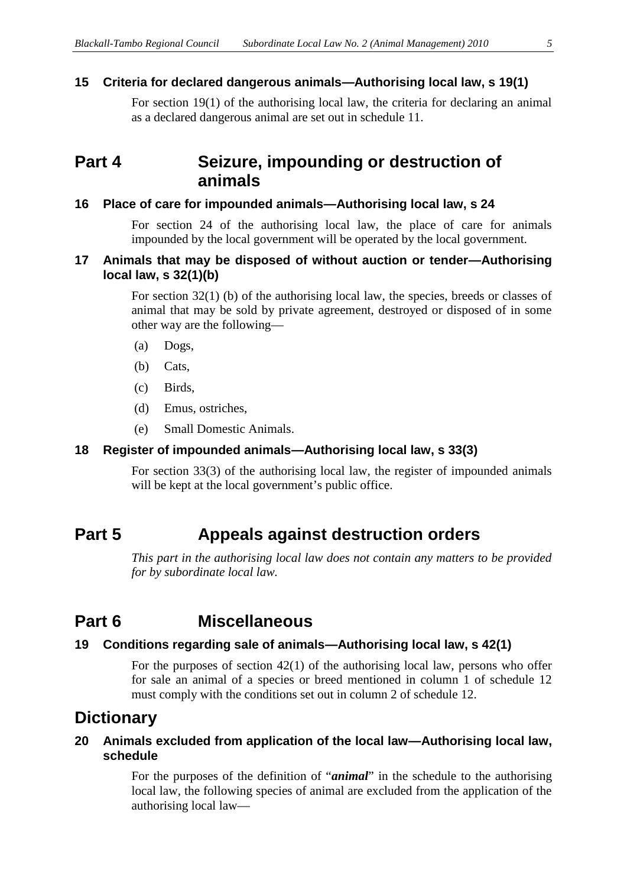#### **15 Criteria for declared dangerous animals—Authorising local law, s 19(1)**

For section 19(1) of the authorising local law, the criteria for declaring an animal as a declared dangerous animal are set out in schedule 11.

### **Part 4 Seizure, impounding or destruction of animals**

#### **16 Place of care for impounded animals—Authorising local law, s 24**

For section 24 of the authorising local law, the place of care for animals impounded by the local government will be operated by the local government.

#### **17 Animals that may be disposed of without auction or tender—Authorising local law, s 32(1)(b)**

For section 32(1) (b) of the authorising local law, the species, breeds or classes of animal that may be sold by private agreement, destroyed or disposed of in some other way are the following—

- (a) Dogs,
- (b) Cats,
- (c) Birds,
- (d) Emus, ostriches,
- (e) Small Domestic Animals.

#### **18 Register of impounded animals—Authorising local law, s 33(3)**

For section 33(3) of the authorising local law, the register of impounded animals will be kept at the local government's public office.

### **Part 5 Appeals against destruction orders**

*This part in the authorising local law does not contain any matters to be provided for by subordinate local law.*

### **Part 6 Miscellaneous**

#### **19 Conditions regarding sale of animals—Authorising local law, s 42(1)**

For the purposes of section 42(1) of the authorising local law, persons who offer for sale an animal of a species or breed mentioned in column 1 of schedule 12 must comply with the conditions set out in column 2 of schedule 12.

### **Dictionary**

#### **20 Animals excluded from application of the local law—Authorising local law, schedule**

For the purposes of the definition of "*animal*" in the schedule to the authorising local law, the following species of animal are excluded from the application of the authorising local law—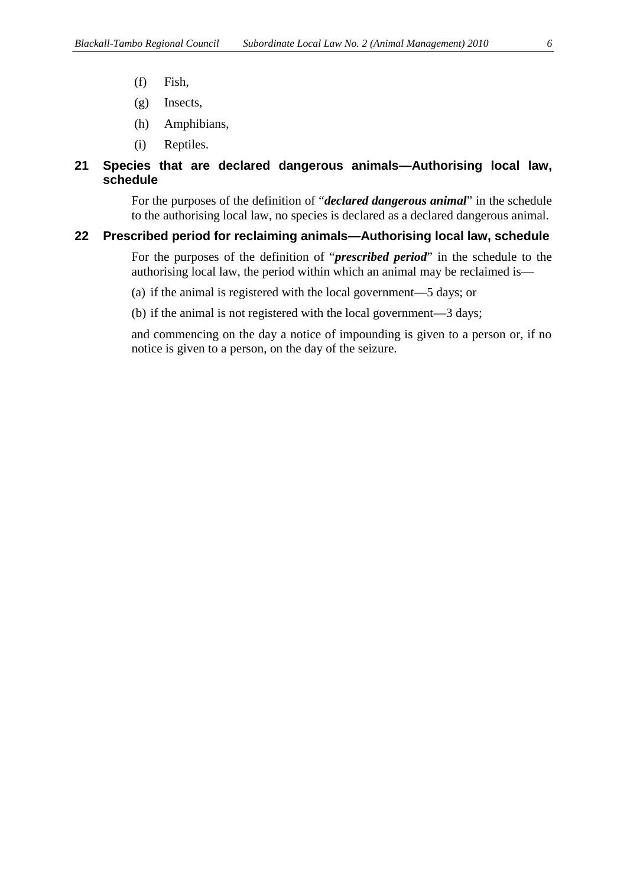- (f) Fish,
- (g) Insects,
- (h) Amphibians,
- (i) Reptiles.

#### **21 Species that are declared dangerous animals—Authorising local law, schedule**

For the purposes of the definition of "*declared dangerous animal*" in the schedule to the authorising local law, no species is declared as a declared dangerous animal.

#### **22 Prescribed period for reclaiming animals—Authorising local law, schedule**

For the purposes of the definition of "*prescribed period*" in the schedule to the authorising local law, the period within which an animal may be reclaimed is—

(a) if the animal is registered with the local government—5 days; or

(b) if the animal is not registered with the local government—3 days;

and commencing on the day a notice of impounding is given to a person or, if no notice is given to a person, on the day of the seizure.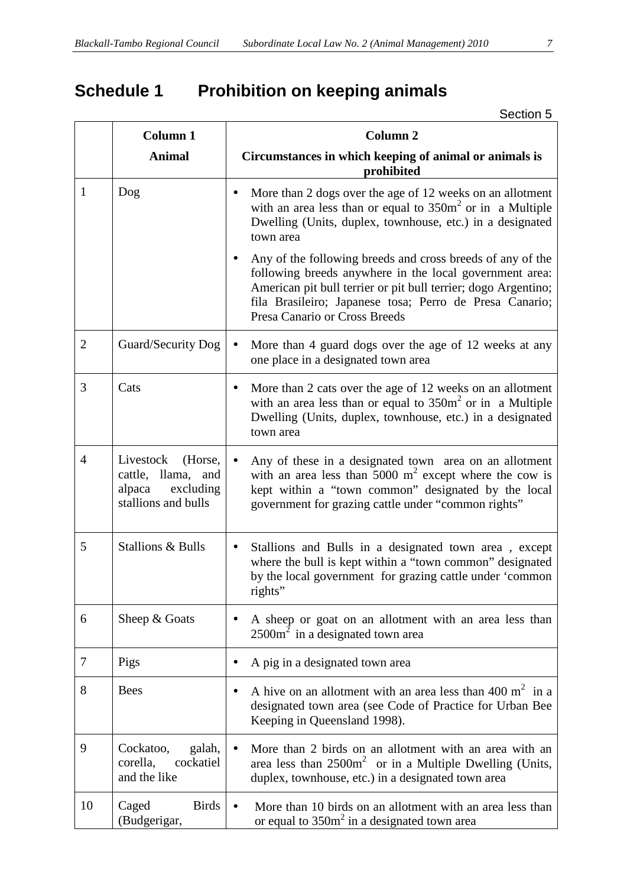## **Schedule 1 Prohibition on keeping animals**

|                | <b>Column 1</b>                                                                          | <b>Column 2</b>                                                                                                                                                                                                                                                                     |  |  |
|----------------|------------------------------------------------------------------------------------------|-------------------------------------------------------------------------------------------------------------------------------------------------------------------------------------------------------------------------------------------------------------------------------------|--|--|
|                | <b>Animal</b>                                                                            | Circumstances in which keeping of animal or animals is<br>prohibited                                                                                                                                                                                                                |  |  |
| 1              | Dog                                                                                      | More than 2 dogs over the age of 12 weeks on an allotment<br>$\bullet$<br>with an area less than or equal to $350m^2$ or in a Multiple<br>Dwelling (Units, duplex, townhouse, etc.) in a designated<br>town area                                                                    |  |  |
|                |                                                                                          | Any of the following breeds and cross breeds of any of the<br>following breeds anywhere in the local government area:<br>American pit bull terrier or pit bull terrier; dogo Argentino;<br>fila Brasileiro; Japanese tosa; Perro de Presa Canario;<br>Presa Canario or Cross Breeds |  |  |
| $\overline{2}$ | Guard/Security Dog                                                                       | More than 4 guard dogs over the age of 12 weeks at any<br>$\bullet$<br>one place in a designated town area                                                                                                                                                                          |  |  |
| 3              | Cats                                                                                     | More than 2 cats over the age of 12 weeks on an allotment<br>$\bullet$<br>with an area less than or equal to $350m^2$ or in a Multiple<br>Dwelling (Units, duplex, townhouse, etc.) in a designated<br>town area                                                                    |  |  |
| $\overline{4}$ | Livestock<br>(Horse,<br>cattle, llama, and<br>alpaca<br>excluding<br>stallions and bulls | Any of these in a designated town area on an allotment<br>$\bullet$<br>with an area less than 5000 $m^2$ except where the cow is<br>kept within a "town common" designated by the local<br>government for grazing cattle under "common rights"                                      |  |  |
| 5              | <b>Stallions &amp; Bulls</b>                                                             | Stallions and Bulls in a designated town area, except<br>$\bullet$<br>where the bull is kept within a "town common" designated<br>by the local government for grazing cattle under 'common<br>rights"                                                                               |  |  |
| 6              | Sheep & Goats                                                                            | A sheep or goat on an allotment with an area less than<br>$2500m2$ in a designated town area                                                                                                                                                                                        |  |  |
| 7              | Pigs                                                                                     | A pig in a designated town area<br>$\bullet$                                                                                                                                                                                                                                        |  |  |
| 8              | <b>Bees</b>                                                                              | A hive on an allotment with an area less than 400 $m2$ in a<br>$\bullet$<br>designated town area (see Code of Practice for Urban Bee<br>Keeping in Queensland 1998).                                                                                                                |  |  |
| 9              | Cockatoo,<br>galah,<br>corella,<br>cockatiel<br>and the like                             | More than 2 birds on an allotment with an area with an<br>area less than $2500m^2$ or in a Multiple Dwelling (Units,<br>duplex, townhouse, etc.) in a designated town area                                                                                                          |  |  |
| 10             | Caged<br><b>Birds</b><br>(Budgerigar,                                                    | More than 10 birds on an allotment with an area less than<br>$\bullet$<br>or equal to $350m^2$ in a designated town area                                                                                                                                                            |  |  |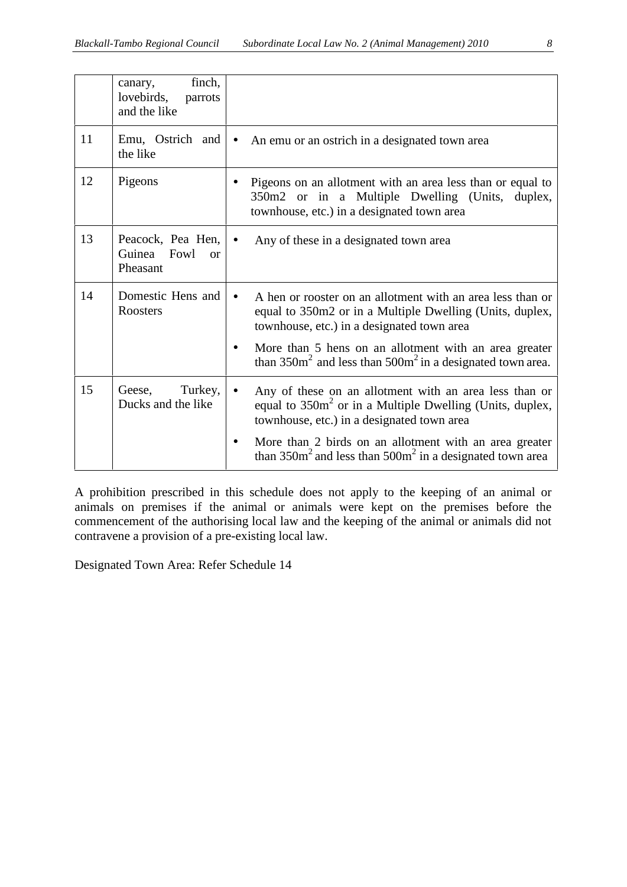|    | finch,<br>canary,<br>lovebirds,<br>parrots<br>and the like  |                                                                                                                                                                                                                                                                                                               |
|----|-------------------------------------------------------------|---------------------------------------------------------------------------------------------------------------------------------------------------------------------------------------------------------------------------------------------------------------------------------------------------------------|
| 11 | Emu, Ostrich and<br>the like                                | An emu or an ostrich in a designated town area                                                                                                                                                                                                                                                                |
| 12 | Pigeons                                                     | Pigeons on an allotment with an area less than or equal to<br>350m2 or in a Multiple Dwelling (Units, duplex,<br>townhouse, etc.) in a designated town area                                                                                                                                                   |
| 13 | Peacock, Pea Hen,<br>Guinea<br>Fowl<br>$\alpha$<br>Pheasant | Any of these in a designated town area<br>$\bullet$                                                                                                                                                                                                                                                           |
| 14 | Domestic Hens and<br>Roosters                               | A hen or rooster on an allotment with an area less than or<br>$\bullet$<br>equal to 350m2 or in a Multiple Dwelling (Units, duplex,<br>townhouse, etc.) in a designated town area<br>More than 5 hens on an allotment with an area greater<br>than $350m^2$ and less than $500m^2$ in a designated town area. |
| 15 | Turkey,<br>Geese,<br>Ducks and the like                     | Any of these on an allotment with an area less than or<br>$\bullet$<br>equal to $350m^2$ or in a Multiple Dwelling (Units, duplex,<br>townhouse, etc.) in a designated town area<br>More than 2 birds on an allotment with an area greater<br>than $350m^2$ and less than $500m^2$ in a designated town area  |

A prohibition prescribed in this schedule does not apply to the keeping of an animal or animals on premises if the animal or animals were kept on the premises before the commencement of the authorising local law and the keeping of the animal or animals did not contravene a provision of a pre-existing local law.

Designated Town Area: Refer Schedule 14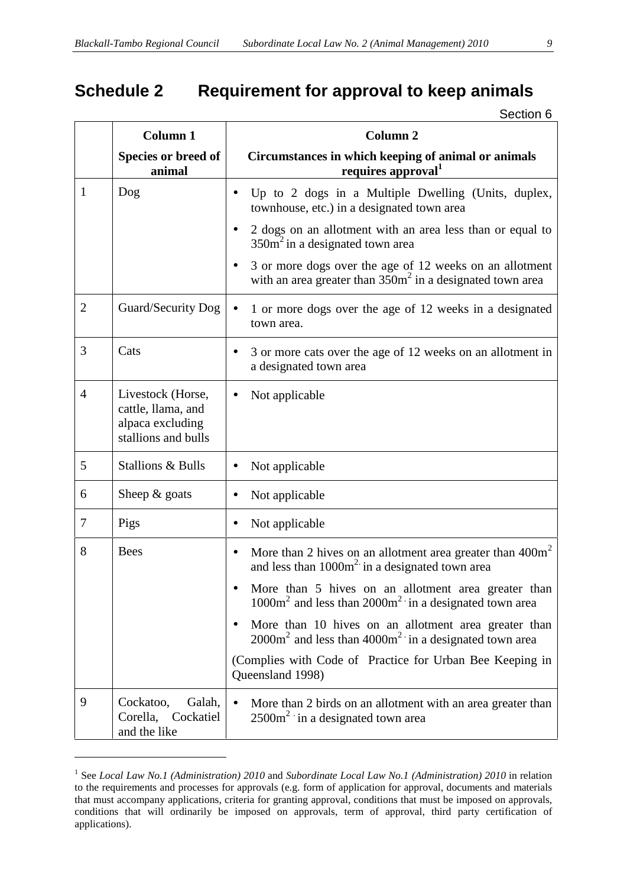## **Schedule 2 Requirement for approval to keep animals**

|                | <b>Column 1</b>                                                                    | Column <sub>2</sub>                                                                                                                  |
|----------------|------------------------------------------------------------------------------------|--------------------------------------------------------------------------------------------------------------------------------------|
|                | Species or breed of<br>animal                                                      | Circumstances in which keeping of animal or animals<br>requires approval                                                             |
| 1              | Dog                                                                                | Up to 2 dogs in a Multiple Dwelling (Units, duplex,<br>townhouse, etc.) in a designated town area                                    |
|                |                                                                                    | 2 dogs on an allotment with an area less than or equal to<br>$350m2$ in a designated town area                                       |
|                |                                                                                    | 3 or more dogs over the age of 12 weeks on an allotment<br>$\bullet$<br>with an area greater than $350m^2$ in a designated town area |
| $\overline{2}$ | Guard/Security Dog                                                                 | 1 or more dogs over the age of 12 weeks in a designated<br>town area.                                                                |
| 3              | Cats                                                                               | 3 or more cats over the age of 12 weeks on an allotment in<br>a designated town area                                                 |
| $\overline{4}$ | Livestock (Horse,<br>cattle, llama, and<br>alpaca excluding<br>stallions and bulls | Not applicable                                                                                                                       |
| 5              | <b>Stallions &amp; Bulls</b>                                                       | Not applicable                                                                                                                       |
| 6              | Sheep $&$ goats                                                                    | Not applicable<br>$\bullet$                                                                                                          |
| $\tau$         | Pigs                                                                               | Not applicable<br>$\bullet$                                                                                                          |
| 8              | <b>Bees</b>                                                                        | More than 2 hives on an allotment area greater than $400m2$<br>and less than 1000m <sup>2</sup> in a designated town area            |
|                |                                                                                    | More than 5 hives on an allotment area greater than<br>$1000m2$ and less than $2000m2$ in a designated town area                     |
|                |                                                                                    | More than 10 hives on an allotment area greater than<br>$2000m2$ and less than $4000m2$ in a designated town area                    |
|                |                                                                                    | (Complies with Code of Practice for Urban Bee Keeping in<br>Queensland 1998)                                                         |
| 9              | Cockatoo,<br>Galah,<br>Corella,<br>Cockatiel<br>and the like                       | More than 2 birds on an allotment with an area greater than<br>$2500m2$ in a designated town area                                    |

<sup>1</sup> See *Local Law No.1 (Administration) 2010* and *Subordinate Local Law No.1 (Administration) 2010* in relation to the requirements and processes for approvals (e.g. form of application for approval, documents and materials that must accompany applications, criteria for granting approval, conditions that must be imposed on approvals, conditions that will ordinarily be imposed on approvals, term of approval, third party certification of applications).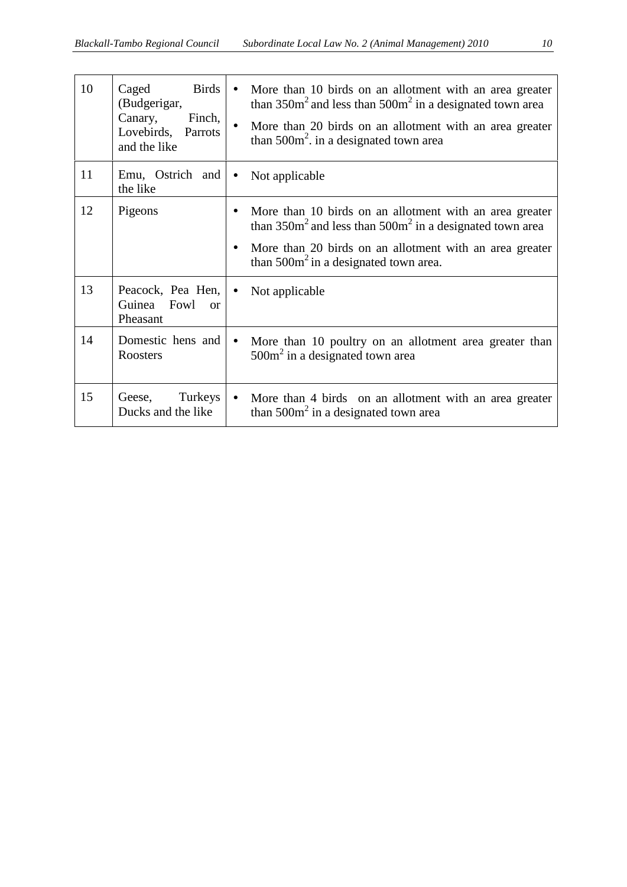| 10 | <b>Birds</b><br>Caged<br>(Budgerigar,<br>Canary,<br>Finch,<br>Lovebirds,<br>Parrots<br>and the like |           | More than 10 birds on an allotment with an area greater<br>than $350m^2$ and less than $500m^2$ in a designated town area<br>More than 20 birds on an allotment with an area greater<br>than $500m^2$ . in a designated town area |
|----|-----------------------------------------------------------------------------------------------------|-----------|-----------------------------------------------------------------------------------------------------------------------------------------------------------------------------------------------------------------------------------|
| 11 | Emu, Ostrich and<br>the like                                                                        | $\bullet$ | Not applicable                                                                                                                                                                                                                    |
| 12 | Pigeons                                                                                             |           | More than 10 birds on an allotment with an area greater<br>than $350m^2$ and less than $500m^2$ in a designated town area<br>More than 20 birds on an allotment with an area greater<br>than $500m^2$ in a designated town area.  |
| 13 | Peacock, Pea Hen,<br>Guinea Fowl<br>$\alpha$<br>Pheasant                                            | $\bullet$ | Not applicable                                                                                                                                                                                                                    |
| 14 | Domestic hens and<br>Roosters                                                                       | $\bullet$ | More than 10 poultry on an allotment area greater than<br>$500m2$ in a designated town area                                                                                                                                       |
| 15 | Turkeys<br>Geese,<br>Ducks and the like                                                             | $\bullet$ | More than 4 birds on an allotment with an area greater<br>than $500m^2$ in a designated town area                                                                                                                                 |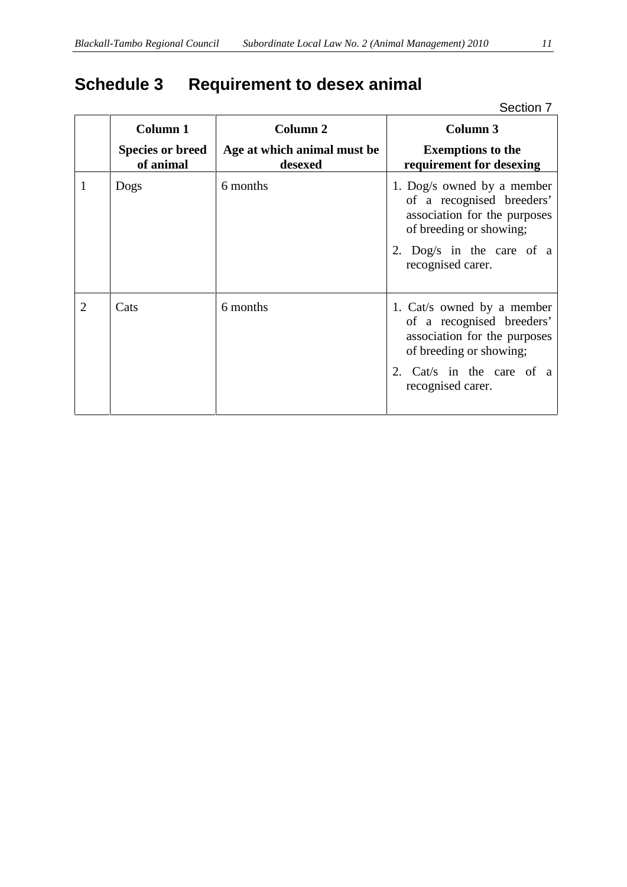## **Schedule 3 Requirement to desex animal**

|   |                                      |                                        | Section 7                                                                                                                                                            |
|---|--------------------------------------|----------------------------------------|----------------------------------------------------------------------------------------------------------------------------------------------------------------------|
|   | <b>Column 1</b>                      | Column <sub>2</sub>                    | Column 3                                                                                                                                                             |
|   | <b>Species or breed</b><br>of animal | Age at which animal must be<br>desexed | <b>Exemptions to the</b><br>requirement for desexing                                                                                                                 |
| 1 | Dogs                                 | 6 months                               | 1. Dog/s owned by a member<br>of a recognised breeders'<br>association for the purposes<br>of breeding or showing;<br>2. Dog/s in the care of a<br>recognised carer. |
| 2 | Cats                                 | 6 months                               | 1. Cat/s owned by a member<br>of a recognised breeders'<br>association for the purposes<br>of breeding or showing;<br>2. Cat/s in the care of a<br>recognised carer. |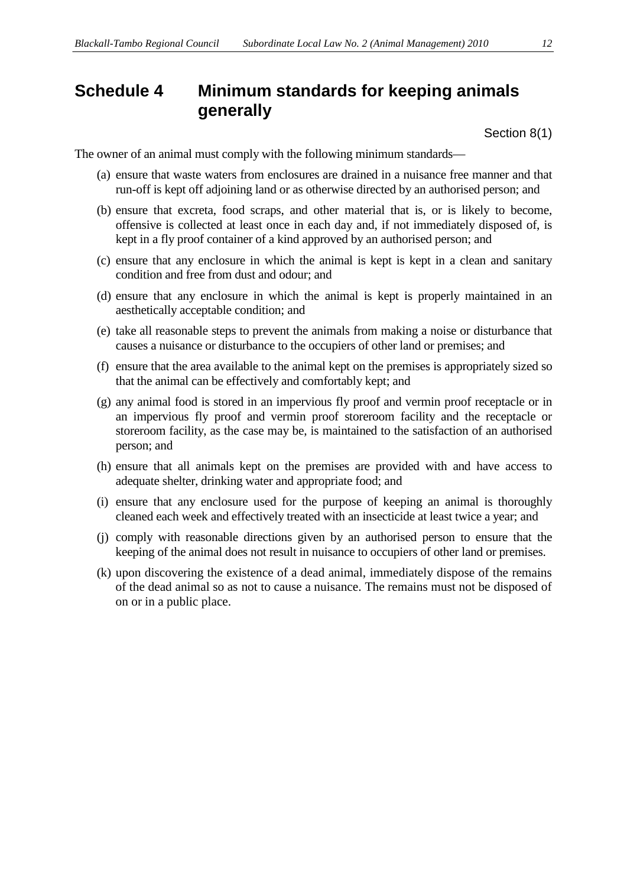## **Schedule 4 Minimum standards for keeping animals generally**

Section 8(1)

The owner of an animal must comply with the following minimum standards—

- (a) ensure that waste waters from enclosures are drained in a nuisance free manner and that run-off is kept off adjoining land or as otherwise directed by an authorised person; and
- (b) ensure that excreta, food scraps, and other material that is, or is likely to become, offensive is collected at least once in each day and, if not immediately disposed of, is kept in a fly proof container of a kind approved by an authorised person; and
- (c) ensure that any enclosure in which the animal is kept is kept in a clean and sanitary condition and free from dust and odour; and
- (d) ensure that any enclosure in which the animal is kept is properly maintained in an aesthetically acceptable condition; and
- (e) take all reasonable steps to prevent the animals from making a noise or disturbance that causes a nuisance or disturbance to the occupiers of other land or premises; and
- (f) ensure that the area available to the animal kept on the premises is appropriately sized so that the animal can be effectively and comfortably kept; and
- (g) any animal food is stored in an impervious fly proof and vermin proof receptacle or in an impervious fly proof and vermin proof storeroom facility and the receptacle or storeroom facility, as the case may be, is maintained to the satisfaction of an authorised person; and
- (h) ensure that all animals kept on the premises are provided with and have access to adequate shelter, drinking water and appropriate food; and
- (i) ensure that any enclosure used for the purpose of keeping an animal is thoroughly cleaned each week and effectively treated with an insecticide at least twice a year; and
- (j) comply with reasonable directions given by an authorised person to ensure that the keeping of the animal does not result in nuisance to occupiers of other land or premises.
- (k) upon discovering the existence of a dead animal, immediately dispose of the remains of the dead animal so as not to cause a nuisance. The remains must not be disposed of on or in a public place.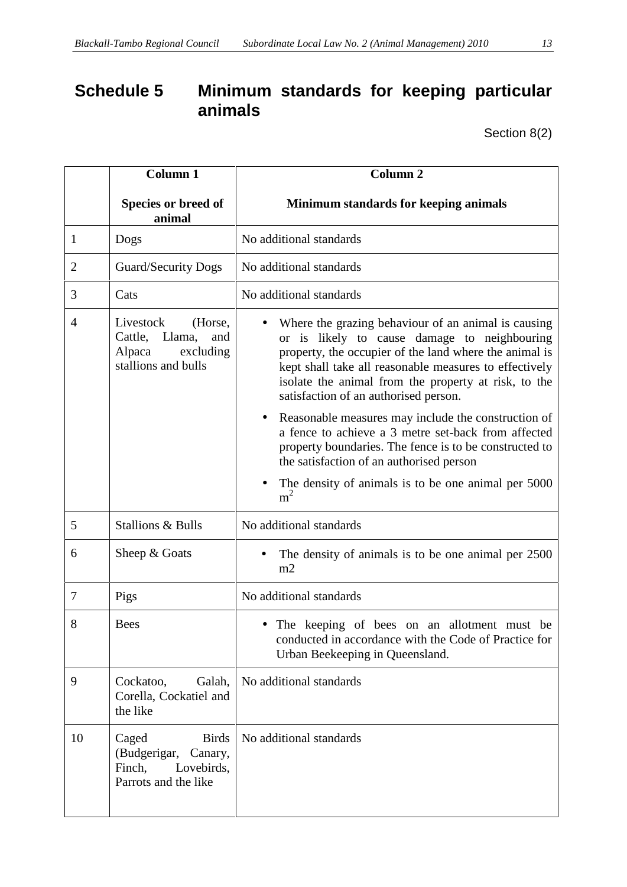## **Schedule 5 Minimum standards for keeping particular animals**

Section 8(2)

|                | Column 1                                                                                         | <b>Column 2</b>                                                                                                                                                                                                                                                                                                          |  |  |
|----------------|--------------------------------------------------------------------------------------------------|--------------------------------------------------------------------------------------------------------------------------------------------------------------------------------------------------------------------------------------------------------------------------------------------------------------------------|--|--|
|                | Species or breed of<br>animal                                                                    | Minimum standards for keeping animals                                                                                                                                                                                                                                                                                    |  |  |
| 1              | Dogs                                                                                             | No additional standards                                                                                                                                                                                                                                                                                                  |  |  |
| $\overline{2}$ | <b>Guard/Security Dogs</b>                                                                       | No additional standards                                                                                                                                                                                                                                                                                                  |  |  |
| 3              | Cats                                                                                             | No additional standards                                                                                                                                                                                                                                                                                                  |  |  |
| $\overline{A}$ | Livestock<br>(Horse,<br>Cattle, Llama,<br>and<br>Alpaca<br>excluding<br>stallions and bulls      | Where the grazing behaviour of an animal is causing<br>or is likely to cause damage to neighbouring<br>property, the occupier of the land where the animal is<br>kept shall take all reasonable measures to effectively<br>isolate the animal from the property at risk, to the<br>satisfaction of an authorised person. |  |  |
|                |                                                                                                  | Reasonable measures may include the construction of<br>a fence to achieve a 3 metre set-back from affected<br>property boundaries. The fence is to be constructed to<br>the satisfaction of an authorised person                                                                                                         |  |  |
|                |                                                                                                  | The density of animals is to be one animal per 5000<br>m <sup>2</sup>                                                                                                                                                                                                                                                    |  |  |
| 5              | Stallions & Bulls                                                                                | No additional standards                                                                                                                                                                                                                                                                                                  |  |  |
| 6              | Sheep & Goats                                                                                    | The density of animals is to be one animal per 2500<br>m2                                                                                                                                                                                                                                                                |  |  |
| 7              | Pigs                                                                                             | No additional standards                                                                                                                                                                                                                                                                                                  |  |  |
| 8              | <b>Bees</b>                                                                                      | • The keeping of bees on an allotment must be<br>conducted in accordance with the Code of Practice for<br>Urban Beekeeping in Queensland.                                                                                                                                                                                |  |  |
| 9              | Cockatoo,<br>Galah,<br>Corella, Cockatiel and<br>the like                                        | No additional standards                                                                                                                                                                                                                                                                                                  |  |  |
| 10             | <b>Birds</b><br>Caged<br>(Budgerigar,<br>Canary,<br>Finch,<br>Lovebirds,<br>Parrots and the like | No additional standards                                                                                                                                                                                                                                                                                                  |  |  |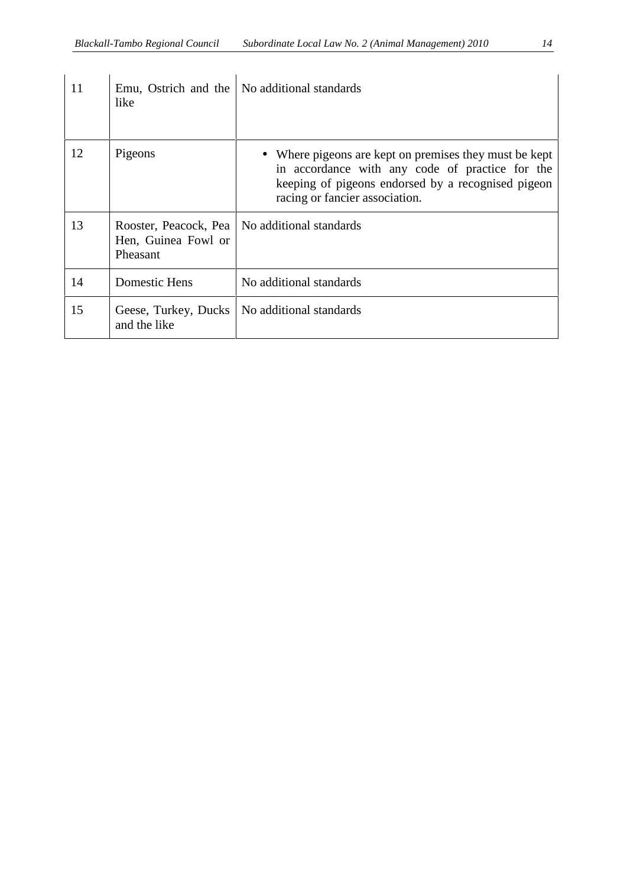| 11 | Emu, Ostrich and the<br>like                             | No additional standards                                                                                                                                                                           |
|----|----------------------------------------------------------|---------------------------------------------------------------------------------------------------------------------------------------------------------------------------------------------------|
| 12 | Pigeons                                                  | • Where pigeons are kept on premises they must be kept<br>in accordance with any code of practice for the<br>keeping of pigeons endorsed by a recognised pigeon<br>racing or fancier association. |
| 13 | Rooster, Peacock, Pea<br>Hen, Guinea Fowl or<br>Pheasant | No additional standards                                                                                                                                                                           |
| 14 | Domestic Hens                                            | No additional standards                                                                                                                                                                           |
| 15 | Geese, Turkey, Ducks<br>and the like                     | No additional standards                                                                                                                                                                           |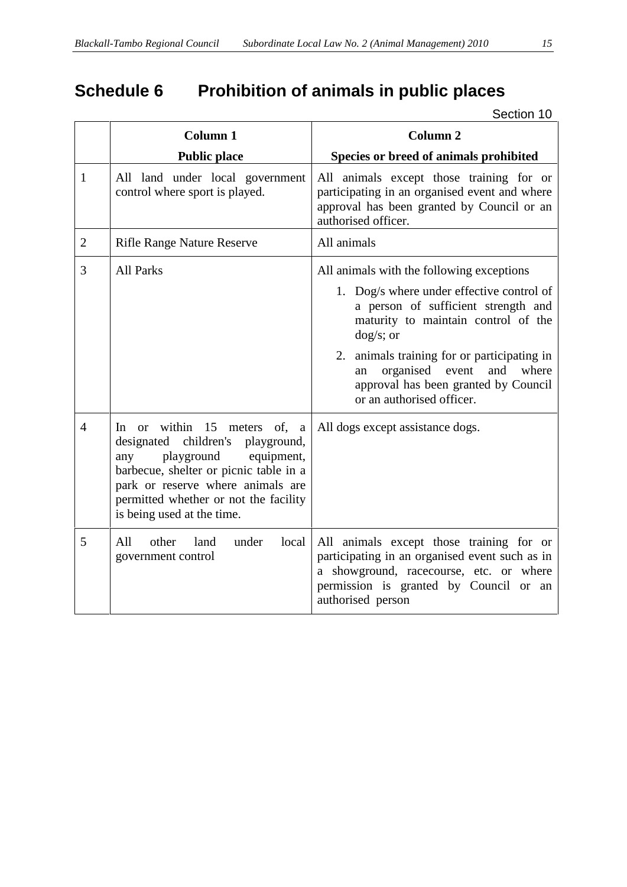|                | <b>Column 1</b>                                                                                                                                                                                                                                               | <b>Column 2</b>                                                                                                                                                                                      |
|----------------|---------------------------------------------------------------------------------------------------------------------------------------------------------------------------------------------------------------------------------------------------------------|------------------------------------------------------------------------------------------------------------------------------------------------------------------------------------------------------|
|                | <b>Public place</b>                                                                                                                                                                                                                                           | Species or breed of animals prohibited                                                                                                                                                               |
| $\mathbf{1}$   | All land under local government<br>control where sport is played.                                                                                                                                                                                             | All animals except those training for or<br>participating in an organised event and where<br>approval has been granted by Council or an<br>authorised officer.                                       |
| $\mathbf{2}$   | <b>Rifle Range Nature Reserve</b>                                                                                                                                                                                                                             | All animals                                                                                                                                                                                          |
| 3              | <b>All Parks</b>                                                                                                                                                                                                                                              | All animals with the following exceptions                                                                                                                                                            |
|                |                                                                                                                                                                                                                                                               | 1. Dog/s where under effective control of<br>a person of sufficient strength and<br>maturity to maintain control of the<br>$\frac{dog}{s}$ ; or                                                      |
|                |                                                                                                                                                                                                                                                               | 2. animals training for or participating in<br>organised event<br>and<br>where<br>an<br>approval has been granted by Council<br>or an authorised officer.                                            |
| $\overline{4}$ | In or within 15 meters of, a<br>designated children's<br>playground,<br>playground<br>equipment,<br>any<br>barbecue, shelter or picnic table in a<br>park or reserve where animals are<br>permitted whether or not the facility<br>is being used at the time. | All dogs except assistance dogs.                                                                                                                                                                     |
| 5              | All<br>other<br>under<br>land<br>local<br>government control                                                                                                                                                                                                  | All animals except those training for or<br>participating in an organised event such as in<br>a showground, racecourse, etc. or where<br>permission is granted by Council or an<br>authorised person |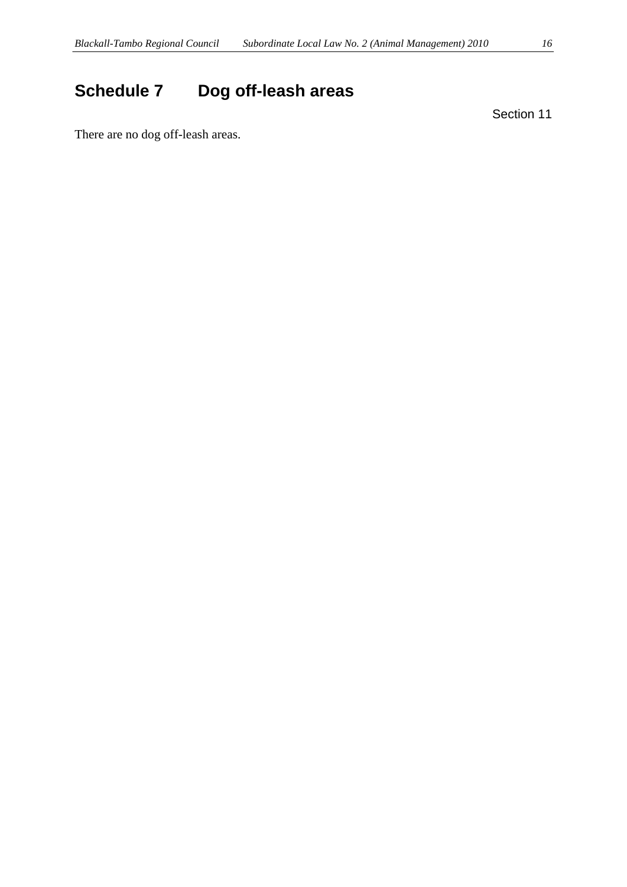# **Schedule 7 Dog off-leash areas**

Section 11

There are no dog off-leash areas.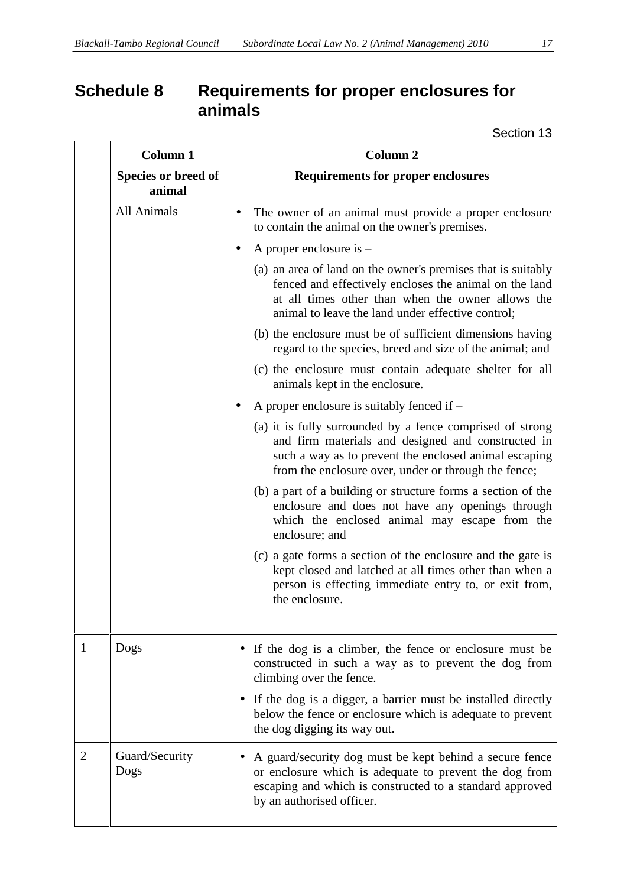## **Schedule 8 Requirements for proper enclosures for animals**

| <b>Column 1</b>               | Column <sub>2</sub>                                                                                                                                                                                                              |
|-------------------------------|----------------------------------------------------------------------------------------------------------------------------------------------------------------------------------------------------------------------------------|
| Species or breed of<br>animal | <b>Requirements for proper enclosures</b>                                                                                                                                                                                        |
| All Animals                   | The owner of an animal must provide a proper enclosure<br>to contain the animal on the owner's premises.                                                                                                                         |
|                               | A proper enclosure is $-$                                                                                                                                                                                                        |
|                               | (a) an area of land on the owner's premises that is suitably<br>fenced and effectively encloses the animal on the land<br>at all times other than when the owner allows the<br>animal to leave the land under effective control; |
|                               | (b) the enclosure must be of sufficient dimensions having<br>regard to the species, breed and size of the animal; and                                                                                                            |
|                               | (c) the enclosure must contain adequate shelter for all<br>animals kept in the enclosure.                                                                                                                                        |
|                               | A proper enclosure is suitably fenced if $-$                                                                                                                                                                                     |
|                               | (a) it is fully surrounded by a fence comprised of strong<br>and firm materials and designed and constructed in<br>such a way as to prevent the enclosed animal escaping<br>from the enclosure over, under or through the fence; |
|                               | (b) a part of a building or structure forms a section of the<br>enclosure and does not have any openings through<br>which the enclosed animal may escape from the<br>enclosure; and                                              |
|                               | (c) a gate forms a section of the enclosure and the gate is<br>kept closed and latched at all times other than when a<br>person is effecting immediate entry to, or exit from,<br>the enclosure.                                 |
| Dogs<br>1                     | If the dog is a climber, the fence or enclosure must be<br>constructed in such a way as to prevent the dog from<br>climbing over the fence.                                                                                      |
|                               | If the dog is a digger, a barrier must be installed directly<br>below the fence or enclosure which is adequate to prevent<br>the dog digging its way out.                                                                        |
| Guard/Security<br>2<br>Dogs   | A guard/security dog must be kept behind a secure fence<br>or enclosure which is adequate to prevent the dog from<br>escaping and which is constructed to a standard approved<br>by an authorised officer.                       |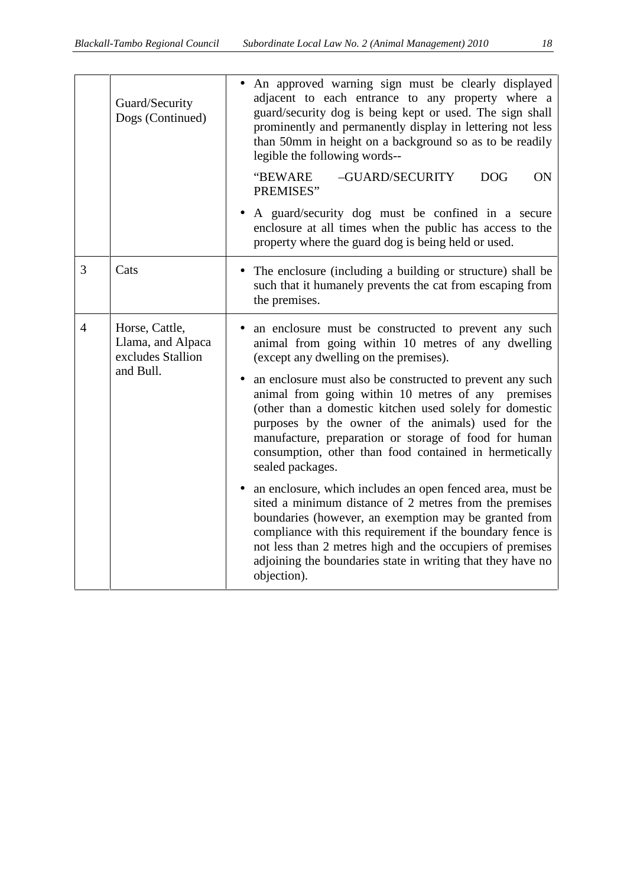| Guard/Security<br>Dogs (Continued) |                                                                       | An approved warning sign must be clearly displayed<br>adjacent to each entrance to any property where a<br>guard/security dog is being kept or used. The sign shall<br>prominently and permanently display in lettering not less<br>than 50mm in height on a background so as to be readily<br>legible the following words--                                                                                                                                                                                                    |
|------------------------------------|-----------------------------------------------------------------------|---------------------------------------------------------------------------------------------------------------------------------------------------------------------------------------------------------------------------------------------------------------------------------------------------------------------------------------------------------------------------------------------------------------------------------------------------------------------------------------------------------------------------------|
|                                    |                                                                       | "BEWARE<br>-GUARD/SECURITY<br><b>DOG</b><br>ON<br>PREMISES"                                                                                                                                                                                                                                                                                                                                                                                                                                                                     |
|                                    |                                                                       | A guard/security dog must be confined in a secure<br>$\bullet$<br>enclosure at all times when the public has access to the<br>property where the guard dog is being held or used.                                                                                                                                                                                                                                                                                                                                               |
| 3                                  | Cats                                                                  | The enclosure (including a building or structure) shall be<br>$\bullet$<br>such that it humanely prevents the cat from escaping from<br>the premises.                                                                                                                                                                                                                                                                                                                                                                           |
| 4                                  | Horse, Cattle,<br>Llama, and Alpaca<br>excludes Stallion<br>and Bull. | an enclosure must be constructed to prevent any such<br>animal from going within 10 metres of any dwelling<br>(except any dwelling on the premises).<br>an enclosure must also be constructed to prevent any such<br>animal from going within 10 metres of any premises<br>(other than a domestic kitchen used solely for domestic<br>purposes by the owner of the animals) used for the<br>manufacture, preparation or storage of food for human<br>consumption, other than food contained in hermetically<br>sealed packages. |
|                                    |                                                                       | an enclosure, which includes an open fenced area, must be<br>sited a minimum distance of 2 metres from the premises<br>boundaries (however, an exemption may be granted from<br>compliance with this requirement if the boundary fence is<br>not less than 2 metres high and the occupiers of premises<br>adjoining the boundaries state in writing that they have no<br>objection).                                                                                                                                            |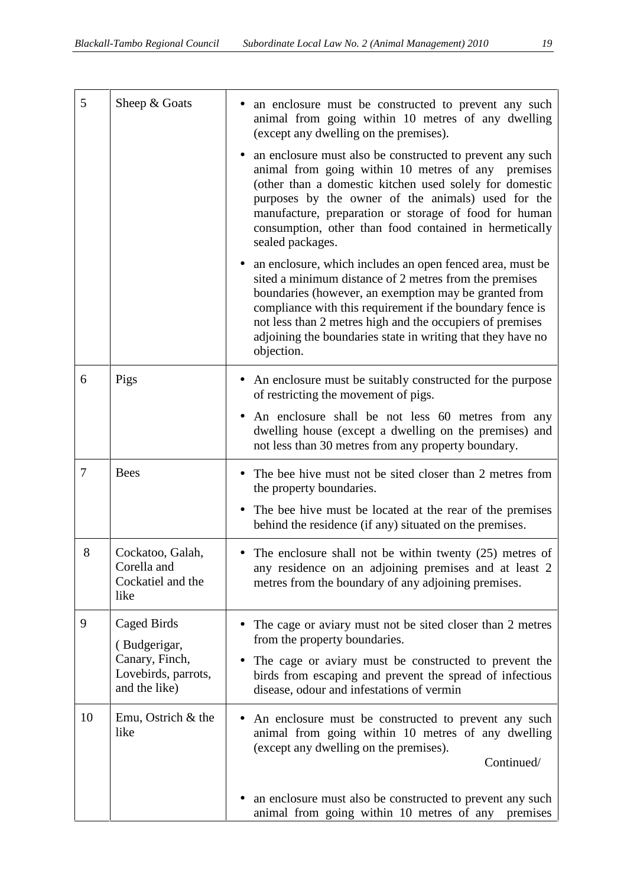| 5              | Sheep & Goats                                                | an enclosure must be constructed to prevent any such<br>animal from going within 10 metres of any dwelling<br>(except any dwelling on the premises).                                                                                                                                                                                                                                             |
|----------------|--------------------------------------------------------------|--------------------------------------------------------------------------------------------------------------------------------------------------------------------------------------------------------------------------------------------------------------------------------------------------------------------------------------------------------------------------------------------------|
|                |                                                              | an enclosure must also be constructed to prevent any such<br>animal from going within 10 metres of any premises<br>(other than a domestic kitchen used solely for domestic<br>purposes by the owner of the animals) used for the<br>manufacture, preparation or storage of food for human<br>consumption, other than food contained in hermetically<br>sealed packages.                          |
|                |                                                              | an enclosure, which includes an open fenced area, must be<br>$\bullet$<br>sited a minimum distance of 2 metres from the premises<br>boundaries (however, an exemption may be granted from<br>compliance with this requirement if the boundary fence is<br>not less than 2 metres high and the occupiers of premises<br>adjoining the boundaries state in writing that they have no<br>objection. |
| 6              | Pigs                                                         | An enclosure must be suitably constructed for the purpose<br>of restricting the movement of pigs.                                                                                                                                                                                                                                                                                                |
|                |                                                              | An enclosure shall be not less 60 metres from any<br>dwelling house (except a dwelling on the premises) and<br>not less than 30 metres from any property boundary.                                                                                                                                                                                                                               |
| $\overline{7}$ | <b>Bees</b>                                                  | The bee hive must not be sited closer than 2 metres from<br>the property boundaries.                                                                                                                                                                                                                                                                                                             |
|                |                                                              | The bee hive must be located at the rear of the premises<br>$\bullet$<br>behind the residence (if any) situated on the premises.                                                                                                                                                                                                                                                                 |
| 8              | Cockatoo, Galah,<br>Corella and<br>Cockatiel and the<br>like | • The enclosure shall not be within twenty $(25)$ metres of<br>any residence on an adjoining premises and at least 2<br>metres from the boundary of any adjoining premises.                                                                                                                                                                                                                      |
| 9              | Caged Birds<br>(Budgerigar,                                  | The cage or aviary must not be sited closer than 2 metres<br>from the property boundaries.                                                                                                                                                                                                                                                                                                       |
|                | Canary, Finch,<br>Lovebirds, parrots,<br>and the like)       | The cage or aviary must be constructed to prevent the<br>$\bullet$<br>birds from escaping and prevent the spread of infectious<br>disease, odour and infestations of vermin                                                                                                                                                                                                                      |
| 10             | Emu, Ostrich & the<br>like                                   | An enclosure must be constructed to prevent any such<br>animal from going within 10 metres of any dwelling<br>(except any dwelling on the premises).<br>Continued/                                                                                                                                                                                                                               |
|                |                                                              | an enclosure must also be constructed to prevent any such<br>animal from going within 10 metres of any<br>premises                                                                                                                                                                                                                                                                               |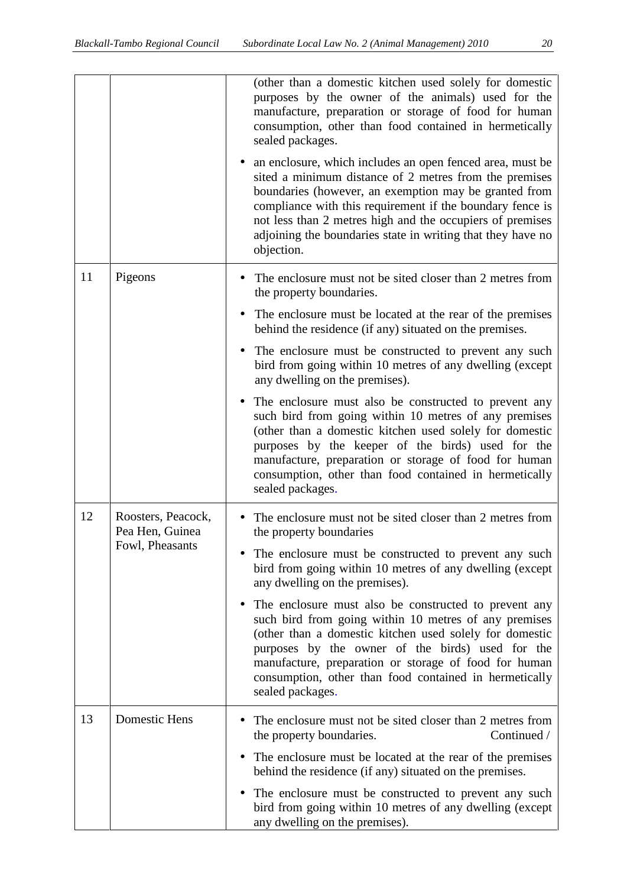|    |                                                          | (other than a domestic kitchen used solely for domestic<br>purposes by the owner of the animals) used for the<br>manufacture, preparation or storage of food for human<br>consumption, other than food contained in hermetically<br>sealed packages.                                                                                                                                |
|----|----------------------------------------------------------|-------------------------------------------------------------------------------------------------------------------------------------------------------------------------------------------------------------------------------------------------------------------------------------------------------------------------------------------------------------------------------------|
|    |                                                          | an enclosure, which includes an open fenced area, must be<br>sited a minimum distance of 2 metres from the premises<br>boundaries (however, an exemption may be granted from<br>compliance with this requirement if the boundary fence is<br>not less than 2 metres high and the occupiers of premises<br>adjoining the boundaries state in writing that they have no<br>objection. |
| 11 | Pigeons                                                  | The enclosure must not be sited closer than 2 metres from<br>the property boundaries.                                                                                                                                                                                                                                                                                               |
|    |                                                          | The enclosure must be located at the rear of the premises<br>$\bullet$<br>behind the residence (if any) situated on the premises.                                                                                                                                                                                                                                                   |
|    |                                                          | The enclosure must be constructed to prevent any such<br>$\bullet$<br>bird from going within 10 metres of any dwelling (except<br>any dwelling on the premises).                                                                                                                                                                                                                    |
|    |                                                          | The enclosure must also be constructed to prevent any<br>$\bullet$<br>such bird from going within 10 metres of any premises<br>(other than a domestic kitchen used solely for domestic<br>purposes by the keeper of the birds) used for the<br>manufacture, preparation or storage of food for human<br>consumption, other than food contained in hermetically<br>sealed packages.  |
| 12 | Roosters, Peacock,<br>Pea Hen, Guinea<br>Fowl, Pheasants | The enclosure must not be sited closer than 2 metres from<br>the property boundaries                                                                                                                                                                                                                                                                                                |
|    |                                                          | The enclosure must be constructed to prevent any such<br>bird from going within 10 metres of any dwelling (except<br>any dwelling on the premises).                                                                                                                                                                                                                                 |
|    |                                                          | The enclosure must also be constructed to prevent any<br>such bird from going within 10 metres of any premises<br>(other than a domestic kitchen used solely for domestic<br>purposes by the owner of the birds) used for the<br>manufacture, preparation or storage of food for human<br>consumption, other than food contained in hermetically<br>sealed packages.                |
| 13 | Domestic Hens                                            | The enclosure must not be sited closer than 2 metres from<br>Continued /<br>the property boundaries.                                                                                                                                                                                                                                                                                |
|    |                                                          | The enclosure must be located at the rear of the premises<br>$\bullet$<br>behind the residence (if any) situated on the premises.                                                                                                                                                                                                                                                   |
|    |                                                          | The enclosure must be constructed to prevent any such<br>$\bullet$<br>bird from going within 10 metres of any dwelling (except<br>any dwelling on the premises).                                                                                                                                                                                                                    |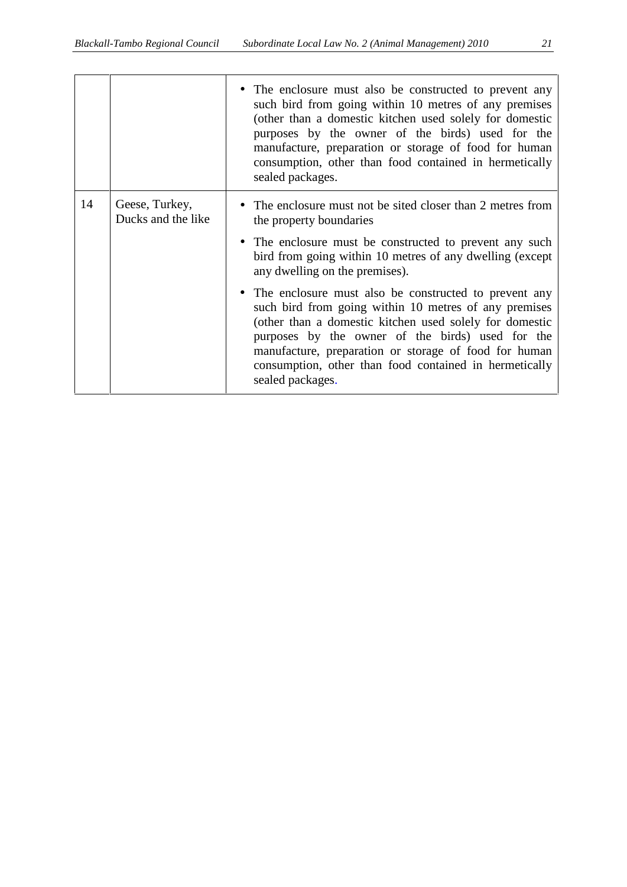|    |                                      | • The enclosure must also be constructed to prevent any<br>such bird from going within 10 metres of any premises<br>(other than a domestic kitchen used solely for domestic<br>purposes by the owner of the birds) used for the<br>manufacture, preparation or storage of food for human<br>consumption, other than food contained in hermetically<br>sealed packages. |
|----|--------------------------------------|------------------------------------------------------------------------------------------------------------------------------------------------------------------------------------------------------------------------------------------------------------------------------------------------------------------------------------------------------------------------|
| 14 | Geese, Turkey,<br>Ducks and the like | • The enclosure must not be sited closer than 2 metres from<br>the property boundaries<br>• The enclosure must be constructed to prevent any such<br>bird from going within 10 metres of any dwelling (except<br>any dwelling on the premises).                                                                                                                        |
|    |                                      | • The enclosure must also be constructed to prevent any<br>such bird from going within 10 metres of any premises<br>(other than a domestic kitchen used solely for domestic<br>purposes by the owner of the birds) used for the<br>manufacture, preparation or storage of food for human<br>consumption, other than food contained in hermetically<br>sealed packages. |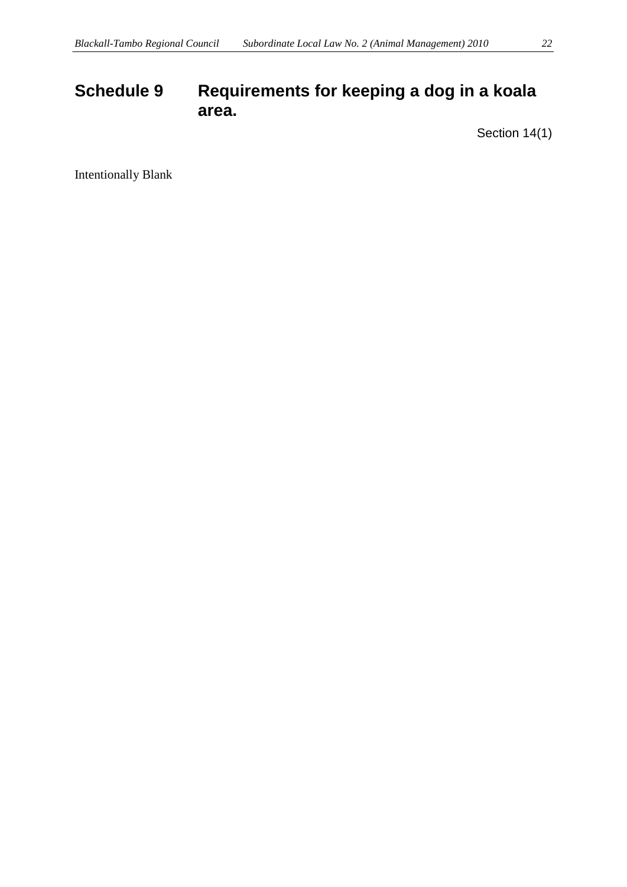## **Schedule 9 Requirements for keeping a dog in a koala area.**

Section 14(1)

Intentionally Blank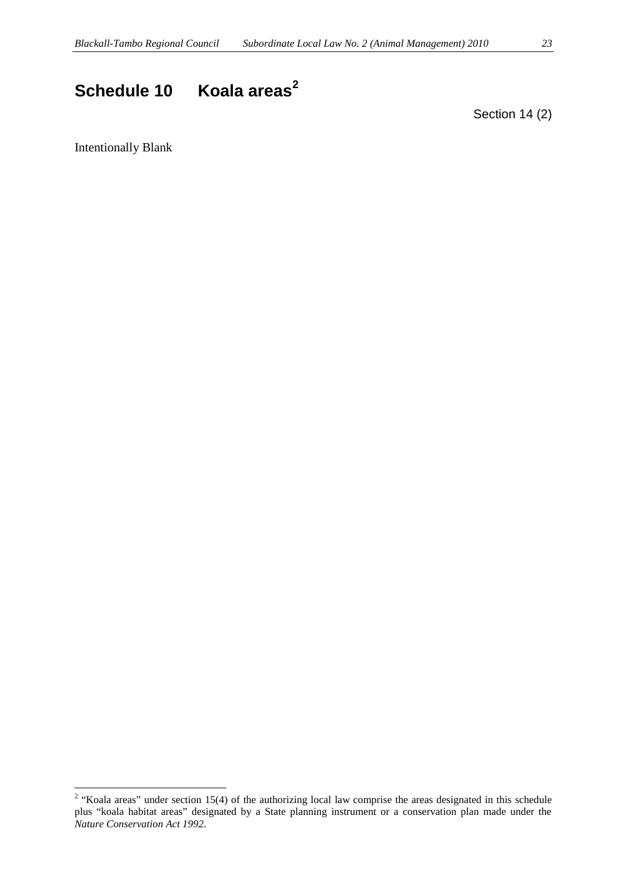## **Schedule 10 Koala areas<sup>2</sup>**

Section 14 (2)

Intentionally Blank

<sup>&</sup>lt;sup>2</sup> "Koala areas" under section 15(4) of the authorizing local law comprise the areas designated in this schedule plus "koala habitat areas" designated by a State planning instrument or a conservation plan made under the *Nature Conservation Act 1992*.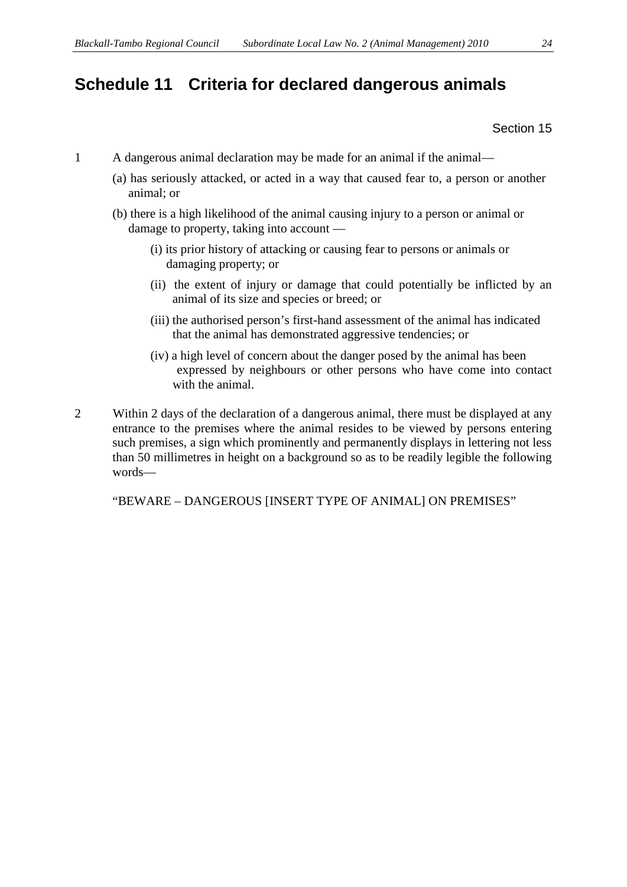### **Schedule 11 Criteria for declared dangerous animals**

Section 15

- 1 A dangerous animal declaration may be made for an animal if the animal—
	- (a) has seriously attacked, or acted in a way that caused fear to, a person or another animal; or
	- (b) there is a high likelihood of the animal causing injury to a person or animal or damage to property, taking into account —
		- (i) its prior history of attacking or causing fear to persons or animals or damaging property; or
		- (ii) the extent of injury or damage that could potentially be inflicted by an animal of its size and species or breed; or
		- (iii) the authorised person's first-hand assessment of the animal has indicated that the animal has demonstrated aggressive tendencies; or
		- (iv) a high level of concern about the danger posed by the animal has been expressed by neighbours or other persons who have come into contact with the animal.
- 2 Within 2 days of the declaration of a dangerous animal, there must be displayed at any entrance to the premises where the animal resides to be viewed by persons entering such premises, a sign which prominently and permanently displays in lettering not less than 50 millimetres in height on a background so as to be readily legible the following words—

"BEWARE –DANGEROUS [INSERT TYPE OF ANIMAL] ON PREMISES"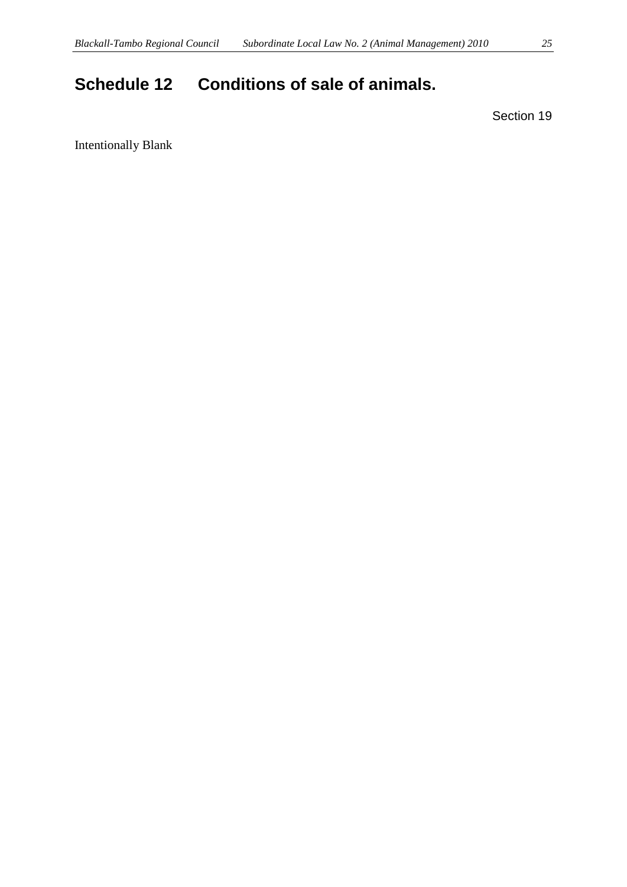## **Schedule 12 Conditions of sale of animals.**

Section 19

Intentionally Blank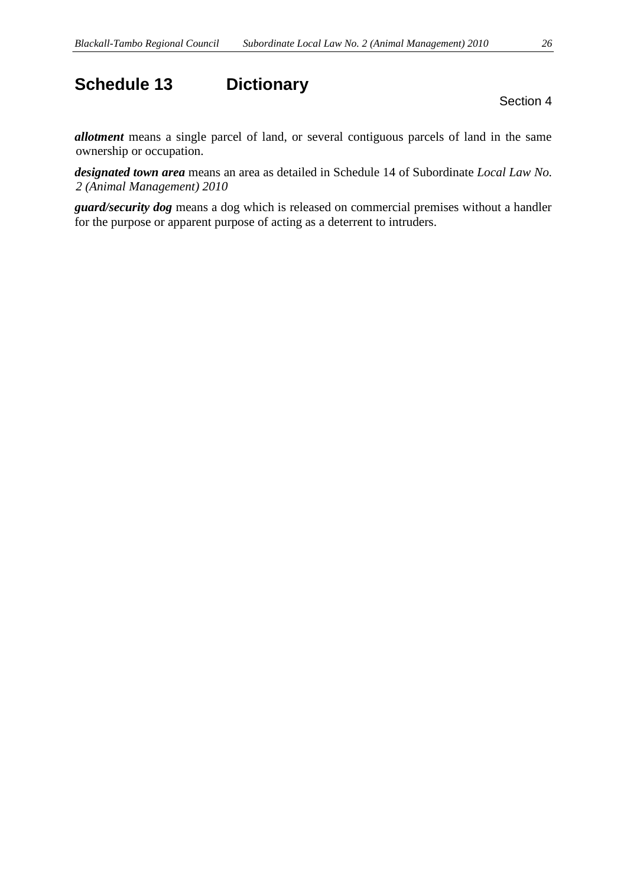## **Schedule 13 Dictionary**

Section 4

*allotment* means a single parcel of land, or several contiguous parcels of land in the same ownership or occupation.

*designated town area* means an area as detailed in Schedule 14 of Subordinate *Local Law No. 2 (Animal Management) 2010*

*guard/security dog* means a dog which is released on commercial premises without a handler for the purpose or apparent purpose of acting as a deterrent to intruders.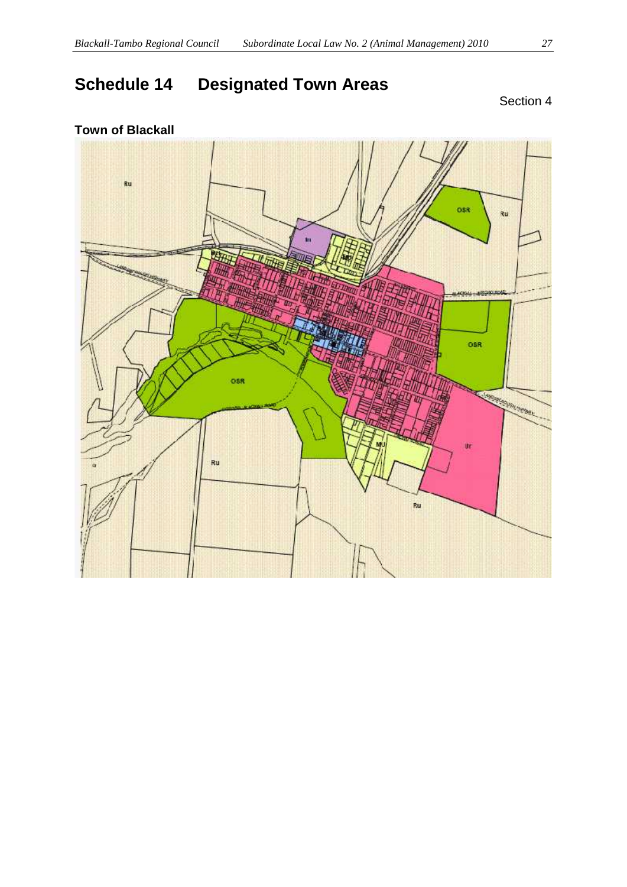## **Schedule 14 Designated Town Areas**

## **Town of Blackall**

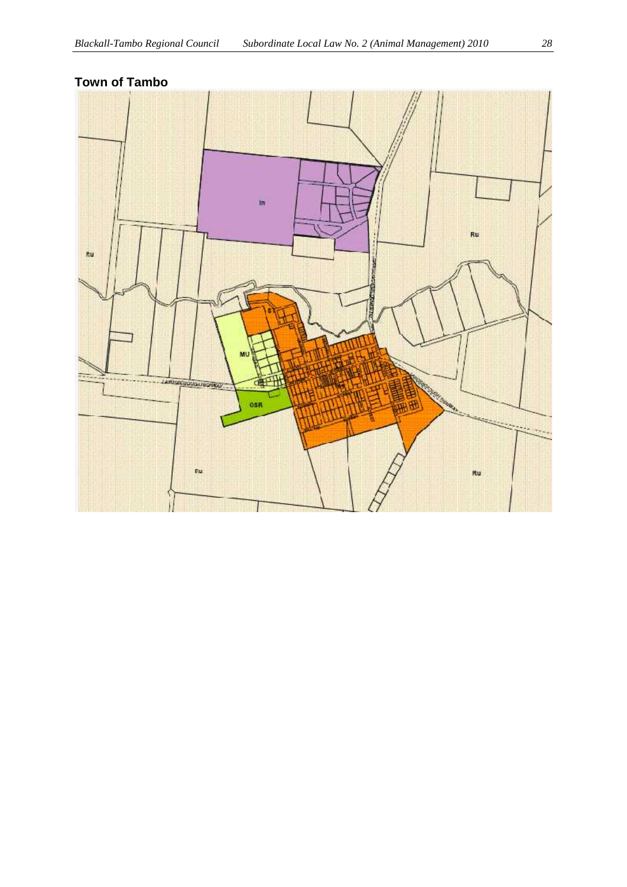#### **Town of Tambo**